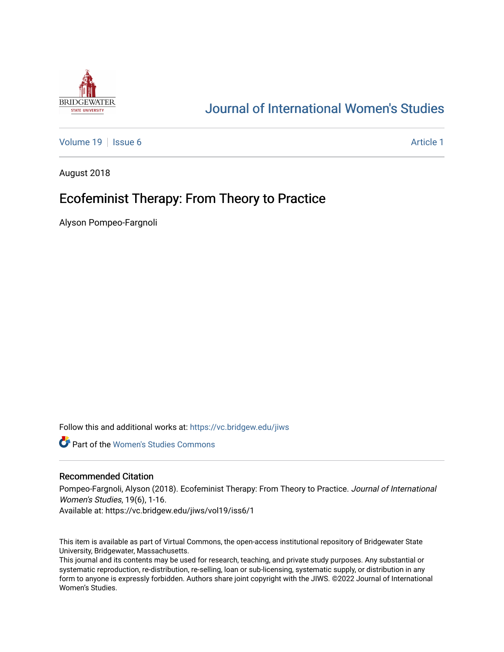

# [Journal of International Women's Studies](https://vc.bridgew.edu/jiws)

[Volume 19](https://vc.bridgew.edu/jiws/vol19) | [Issue 6](https://vc.bridgew.edu/jiws/vol19/iss6) [Article 1](https://vc.bridgew.edu/jiws/vol19/iss6/1) | Article 1 | Article 1 | Article 1 | Article 1 | Article 1 | Article 1 | Article 1 | Article 1 | Article 1 | Article 1 | Article 1 | Article 1 | Article 1 | Article 1 | Article 1 | Article 1

August 2018

# Ecofeminist Therapy: From Theory to Practice

Alyson Pompeo-Fargnoli

Follow this and additional works at: [https://vc.bridgew.edu/jiws](https://vc.bridgew.edu/jiws?utm_source=vc.bridgew.edu%2Fjiws%2Fvol19%2Fiss6%2F1&utm_medium=PDF&utm_campaign=PDFCoverPages)

**C** Part of the Women's Studies Commons

#### Recommended Citation

Pompeo-Fargnoli, Alyson (2018). Ecofeminist Therapy: From Theory to Practice. Journal of International Women's Studies, 19(6), 1-16.

Available at: https://vc.bridgew.edu/jiws/vol19/iss6/1

This item is available as part of Virtual Commons, the open-access institutional repository of Bridgewater State University, Bridgewater, Massachusetts.

This journal and its contents may be used for research, teaching, and private study purposes. Any substantial or systematic reproduction, re-distribution, re-selling, loan or sub-licensing, systematic supply, or distribution in any form to anyone is expressly forbidden. Authors share joint copyright with the JIWS. ©2022 Journal of International Women's Studies.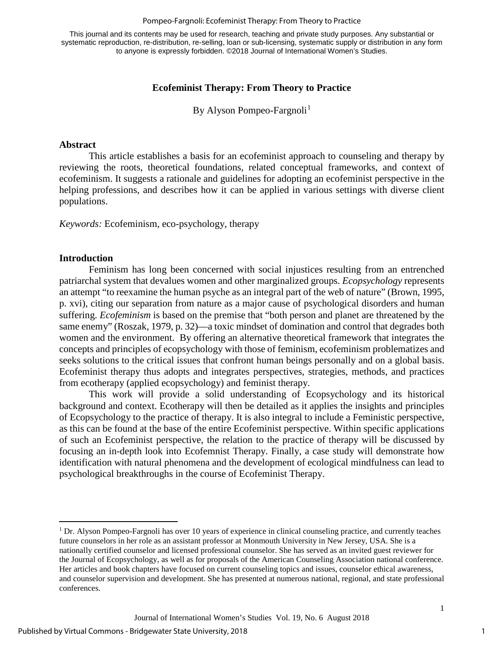#### Pompeo-Fargnoli: Ecofeminist Therapy: From Theory to Practice

This journal and its contents may be used for research, teaching and private study purposes. Any substantial or systematic reproduction, re-distribution, re-selling, loan or sub-licensing, systematic supply or distribution in any form to anyone is expressly forbidden. ©2018 Journal of International Women's Studies.

# **Ecofeminist Therapy: From Theory to Practice**

By Alyson Pompeo-Fargnoli<sup>[1](#page-1-0)</sup>

### **Abstract**

This article establishes a basis for an ecofeminist approach to counseling and therapy by reviewing the roots, theoretical foundations, related conceptual frameworks, and context of ecofeminism. It suggests a rationale and guidelines for adopting an ecofeminist perspective in the helping professions, and describes how it can be applied in various settings with diverse client populations.

*Keywords:* Ecofeminism, eco-psychology, therapy

#### **Introduction**

 $\overline{a}$ 

Feminism has long been concerned with social injustices resulting from an entrenched patriarchal system that devalues women and other marginalized groups. *Ecopsychology* represents an attempt "to reexamine the human psyche as an integral part of the web of nature" (Brown, 1995, p. xvi), citing our separation from nature as a major cause of psychological disorders and human suffering. *Ecofeminism* is based on the premise that "both person and planet are threatened by the same enemy" (Roszak, 1979, p. 32)—a toxic mindset of domination and control that degrades both women and the environment. By offering an alternative theoretical framework that integrates the concepts and principles of ecopsychology with those of feminism, ecofeminism problematizes and seeks solutions to the critical issues that confront human beings personally and on a global basis. Ecofeminist therapy thus adopts and integrates perspectives, strategies, methods, and practices from ecotherapy (applied ecopsychology) and feminist therapy.

This work will provide a solid understanding of Ecopsychology and its historical background and context. Ecotherapy will then be detailed as it applies the insights and principles of Ecopsychology to the practice of therapy. It is also integral to include a Feministic perspective, as this can be found at the base of the entire Ecofeminist perspective. Within specific applications of such an Ecofeminist perspective, the relation to the practice of therapy will be discussed by focusing an in-depth look into Ecofemnist Therapy. Finally, a case study will demonstrate how identification with natural phenomena and the development of ecological mindfulness can lead to psychological breakthroughs in the course of Ecofeminist Therapy.

<span id="page-1-0"></span><sup>1</sup> Dr. Alyson Pompeo-Fargnoli has over 10 years of experience in clinical counseling practice, and currently teaches future counselors in her role as an assistant professor at Monmouth University in New Jersey, USA. She is a nationally certified counselor and licensed professional counselor. She has served as an invited guest reviewer for the Journal of Ecopsychology, as well as for proposals of the American Counseling Association national conference. Her articles and book chapters have focused on current counseling topics and issues, counselor ethical awareness, and counselor supervision and development. She has presented at numerous national, regional, and state professional conferences.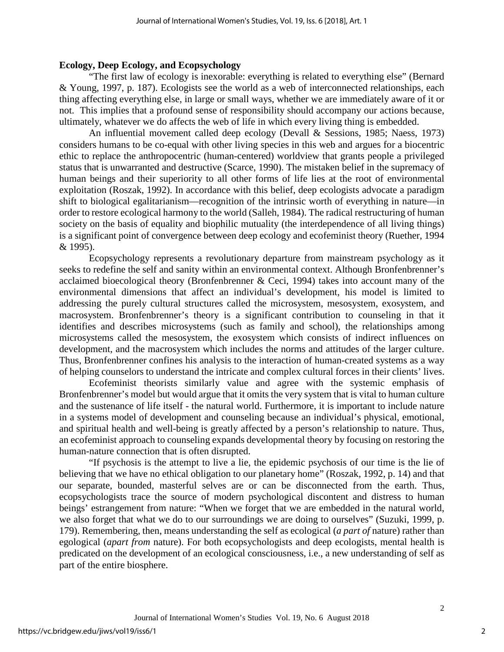### **Ecology, Deep Ecology, and Ecopsychology**

"The first law of ecology is inexorable: everything is related to everything else" (Bernard & Young, 1997, p. 187). Ecologists see the world as a web of interconnected relationships, each thing affecting everything else, in large or small ways, whether we are immediately aware of it or not. This implies that a profound sense of responsibility should accompany our actions because, ultimately, whatever we do affects the web of life in which every living thing is embedded.

An influential movement called deep ecology (Devall & Sessions, 1985; Naess, 1973) considers humans to be co-equal with other living species in this web and argues for a biocentric ethic to replace the anthropocentric (human-centered) worldview that grants people a privileged status that is unwarranted and destructive (Scarce, 1990). The mistaken belief in the supremacy of human beings and their superiority to all other forms of life lies at the root of environmental exploitation (Roszak, 1992). In accordance with this belief, deep ecologists advocate a paradigm shift to biological egalitarianism—recognition of the intrinsic worth of everything in nature—in order to restore ecological harmony to the world (Salleh, 1984). The radical restructuring of human society on the basis of equality and biophilic mutuality (the interdependence of all living things) is a significant point of convergence between deep ecology and ecofeminist theory (Ruether, 1994 & 1995).

Ecopsychology represents a revolutionary departure from mainstream psychology as it seeks to redefine the self and sanity within an environmental context. Although Bronfenbrenner's acclaimed bioecological theory (Bronfenbrenner & Ceci, 1994) takes into account many of the environmental dimensions that affect an individual's development, his model is limited to addressing the purely cultural structures called the microsystem, mesosystem, exosystem, and macrosystem. Bronfenbrenner's theory is a significant contribution to counseling in that it identifies and describes microsystems (such as family and school), the relationships among microsystems called the mesosystem, the exosystem which consists of indirect influences on development, and the macrosystem which includes the norms and attitudes of the larger culture. Thus, Bronfenbrenner confines his analysis to the interaction of human-created systems as a way of helping counselors to understand the intricate and complex cultural forces in their clients' lives.

Ecofeminist theorists similarly value and agree with the systemic emphasis of Bronfenbrenner's model but would argue that it omits the very system that is vital to human culture and the sustenance of life itself - the natural world. Furthermore, it is important to include nature in a systems model of development and counseling because an individual's physical, emotional, and spiritual health and well-being is greatly affected by a person's relationship to nature. Thus, an ecofeminist approach to counseling expands developmental theory by focusing on restoring the human-nature connection that is often disrupted.

"If psychosis is the attempt to live a lie, the epidemic psychosis of our time is the lie of believing that we have no ethical obligation to our planetary home" (Roszak, 1992, p. 14) and that our separate, bounded, masterful selves are or can be disconnected from the earth. Thus, ecopsychologists trace the source of modern psychological discontent and distress to human beings' estrangement from nature: "When we forget that we are embedded in the natural world, we also forget that what we do to our surroundings we are doing to ourselves" (Suzuki, 1999, p. 179). Remembering, then, means understanding the self as ecological (*a part of* nature) rather than egological (*apart from* nature). For both ecopsychologists and deep ecologists, mental health is predicated on the development of an ecological consciousness, i.e., a new understanding of self as part of the entire biosphere.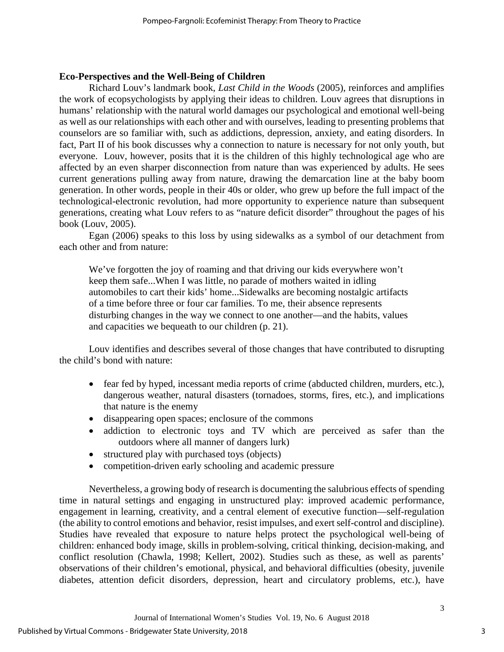# **Eco-Perspectives and the Well-Being of Children**

Richard Louv's landmark book, *Last Child in the Woods* (2005), reinforces and amplifies the work of ecopsychologists by applying their ideas to children. Louv agrees that disruptions in humans' relationship with the natural world damages our psychological and emotional well-being as well as our relationships with each other and with ourselves, leading to presenting problems that counselors are so familiar with, such as addictions, depression, anxiety, and eating disorders. In fact, Part II of his book discusses why a connection to nature is necessary for not only youth, but everyone. Louv, however, posits that it is the children of this highly technological age who are affected by an even sharper disconnection from nature than was experienced by adults. He sees current generations pulling away from nature, drawing the demarcation line at the baby boom generation. In other words, people in their 40s or older, who grew up before the full impact of the technological-electronic revolution, had more opportunity to experience nature than subsequent generations, creating what Louv refers to as "nature deficit disorder" throughout the pages of his book (Louv, 2005).

Egan (2006) speaks to this loss by using sidewalks as a symbol of our detachment from each other and from nature:

We've forgotten the joy of roaming and that driving our kids everywhere won't keep them safe...When I was little, no parade of mothers waited in idling automobiles to cart their kids' home...Sidewalks are becoming nostalgic artifacts of a time before three or four car families. To me, their absence represents disturbing changes in the way we connect to one another—and the habits, values and capacities we bequeath to our children (p. 21).

Louv identifies and describes several of those changes that have contributed to disrupting the child's bond with nature:

- fear fed by hyped, incessant media reports of crime (abducted children, murders, etc.), dangerous weather, natural disasters (tornadoes, storms, fires, etc.), and implications that nature is the enemy
- disappearing open spaces; enclosure of the commons
- addiction to electronic toys and TV which are perceived as safer than the outdoors where all manner of dangers lurk)
- structured play with purchased toys (objects)
- competition-driven early schooling and academic pressure

Nevertheless, a growing body of research is documenting the salubrious effects of spending time in natural settings and engaging in unstructured play: improved academic performance, engagement in learning, creativity, and a central element of executive function—self-regulation (the ability to control emotions and behavior, resist impulses, and exert self-control and discipline). Studies have revealed that exposure to nature helps protect the psychological well-being of children: enhanced body image, skills in problem-solving, critical thinking, decision-making, and conflict resolution (Chawla, 1998; Kellert, 2002). Studies such as these, as well as parents' observations of their children's emotional, physical, and behavioral difficulties (obesity, juvenile diabetes, attention deficit disorders, depression, heart and circulatory problems, etc.), have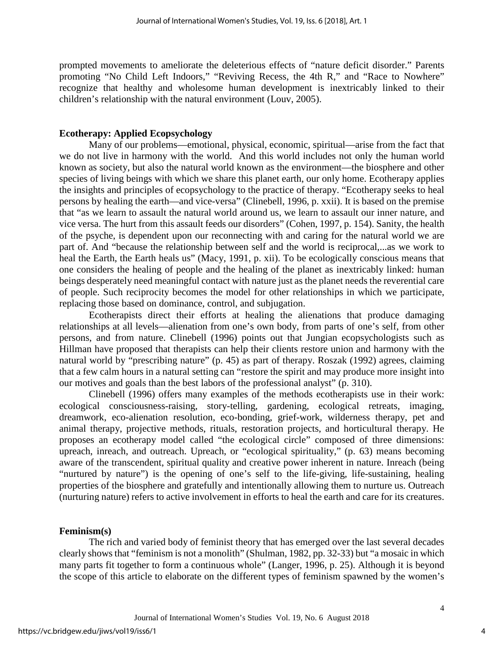prompted movements to ameliorate the deleterious effects of "nature deficit disorder." Parents promoting "No Child Left Indoors," "Reviving Recess, the 4th R," and "Race to Nowhere" recognize that healthy and wholesome human development is inextricably linked to their children's relationship with the natural environment (Louv, 2005).

### **Ecotherapy: Applied Ecopsychology**

Many of our problems—emotional, physical, economic, spiritual—arise from the fact that we do not live in harmony with the world. And this world includes not only the human world known as society, but also the natural world known as the environment—the biosphere and other species of living beings with which we share this planet earth, our only home. Ecotherapy applies the insights and principles of ecopsychology to the practice of therapy. "Ecotherapy seeks to heal persons by healing the earth—and vice-versa" (Clinebell, 1996, p. xxii). It is based on the premise that "as we learn to assault the natural world around us, we learn to assault our inner nature, and vice versa. The hurt from this assault feeds our disorders" (Cohen, 1997, p. 154). Sanity, the health of the psyche, is dependent upon our reconnecting with and caring for the natural world we are part of. And "because the relationship between self and the world is reciprocal,...as we work to heal the Earth, the Earth heals us" (Macy, 1991, p. xii). To be ecologically conscious means that one considers the healing of people and the healing of the planet as inextricably linked: human beings desperately need meaningful contact with nature just as the planet needs the reverential care of people. Such reciprocity becomes the model for other relationships in which we participate, replacing those based on dominance, control, and subjugation.

Ecotherapists direct their efforts at healing the alienations that produce damaging relationships at all levels—alienation from one's own body, from parts of one's self, from other persons, and from nature. Clinebell (1996) points out that Jungian ecopsychologists such as Hillman have proposed that therapists can help their clients restore union and harmony with the natural world by "prescribing nature" (p. 45) as part of therapy. Roszak (1992) agrees, claiming that a few calm hours in a natural setting can "restore the spirit and may produce more insight into our motives and goals than the best labors of the professional analyst" (p. 310).

Clinebell (1996) offers many examples of the methods ecotherapists use in their work: ecological consciousness-raising, story-telling, gardening, ecological retreats, imaging, dreamwork, eco-alienation resolution, eco-bonding, grief-work, wilderness therapy, pet and animal therapy, projective methods, rituals, restoration projects, and horticultural therapy. He proposes an ecotherapy model called "the ecological circle" composed of three dimensions: upreach, inreach, and outreach. Upreach, or "ecological spirituality," (p. 63) means becoming aware of the transcendent, spiritual quality and creative power inherent in nature. Inreach (being "nurtured by nature") is the opening of one's self to the life-giving, life-sustaining, healing properties of the biosphere and gratefully and intentionally allowing them to nurture us. Outreach (nurturing nature) refers to active involvement in efforts to heal the earth and care for its creatures.

#### **Feminism(s)**

The rich and varied body of feminist theory that has emerged over the last several decades clearly shows that "feminism is not a monolith" (Shulman, 1982, pp. 32-33) but "a mosaic in which many parts fit together to form a continuous whole" (Langer, 1996, p. 25). Although it is beyond the scope of this article to elaborate on the different types of feminism spawned by the women's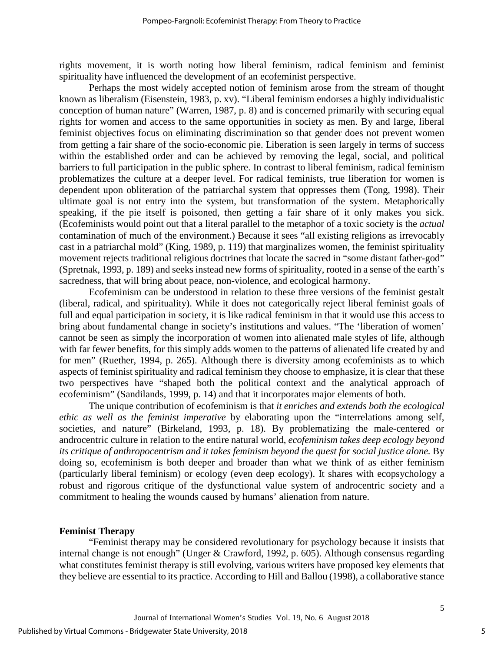rights movement, it is worth noting how liberal feminism, radical feminism and feminist spirituality have influenced the development of an ecofeminist perspective.

Perhaps the most widely accepted notion of feminism arose from the stream of thought known as liberalism (Eisenstein, 1983, p. xv). "Liberal feminism endorses a highly individualistic conception of human nature" (Warren, 1987, p. 8) and is concerned primarily with securing equal rights for women and access to the same opportunities in society as men. By and large, liberal feminist objectives focus on eliminating discrimination so that gender does not prevent women from getting a fair share of the socio-economic pie. Liberation is seen largely in terms of success within the established order and can be achieved by removing the legal, social, and political barriers to full participation in the public sphere. In contrast to liberal feminism, radical feminism problematizes the culture at a deeper level. For radical feminists, true liberation for women is dependent upon obliteration of the patriarchal system that oppresses them (Tong, 1998). Their ultimate goal is not entry into the system, but transformation of the system. Metaphorically speaking, if the pie itself is poisoned, then getting a fair share of it only makes you sick. (Ecofeminists would point out that a literal parallel to the metaphor of a toxic society is the *actual*  contamination of much of the environment.) Because it sees "all existing religions as irrevocably cast in a patriarchal mold" (King, 1989, p. 119) that marginalizes women, the feminist spirituality movement rejects traditional religious doctrines that locate the sacred in "some distant father-god" (Spretnak, 1993, p. 189) and seeks instead new forms of spirituality, rooted in a sense of the earth's sacredness, that will bring about peace, non-violence, and ecological harmony.

Ecofeminism can be understood in relation to these three versions of the feminist gestalt (liberal, radical, and spirituality). While it does not categorically reject liberal feminist goals of full and equal participation in society, it is like radical feminism in that it would use this access to bring about fundamental change in society's institutions and values. "The 'liberation of women' cannot be seen as simply the incorporation of women into alienated male styles of life, although with far fewer benefits, for this simply adds women to the patterns of alienated life created by and for men" (Ruether, 1994, p. 265). Although there is diversity among ecofeminists as to which aspects of feminist spirituality and radical feminism they choose to emphasize, it is clear that these two perspectives have "shaped both the political context and the analytical approach of ecofeminism" (Sandilands, 1999, p. 14) and that it incorporates major elements of both.

The unique contribution of ecofeminism is that *it enriches and extends both the ecological ethic as well as the feminist imperative* by elaborating upon the "interrelations among self, societies, and nature" (Birkeland, 1993, p. 18). By problematizing the male-centered or androcentric culture in relation to the entire natural world, *ecofeminism takes deep ecology beyond its critique of anthropocentrism and it takes feminism beyond the quest for social justice alone.* By doing so, ecofeminism is both deeper and broader than what we think of as either feminism (particularly liberal feminism) or ecology (even deep ecology). It shares with ecopsychology a robust and rigorous critique of the dysfunctional value system of androcentric society and a commitment to healing the wounds caused by humans' alienation from nature.

### **Feminist Therapy**

"Feminist therapy may be considered revolutionary for psychology because it insists that internal change is not enough" (Unger & Crawford, 1992, p. 605). Although consensus regarding what constitutes feminist therapy is still evolving, various writers have proposed key elements that they believe are essential to its practice. According to Hill and Ballou (1998), a collaborative stance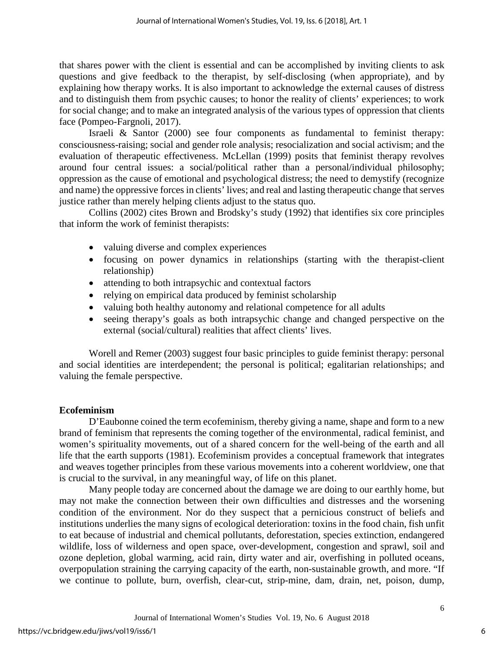that shares power with the client is essential and can be accomplished by inviting clients to ask questions and give feedback to the therapist, by self-disclosing (when appropriate), and by explaining how therapy works. It is also important to acknowledge the external causes of distress and to distinguish them from psychic causes; to honor the reality of clients' experiences; to work for social change; and to make an integrated analysis of the various types of oppression that clients face (Pompeo-Fargnoli, 2017).

Israeli & Santor (2000) see four components as fundamental to feminist therapy: consciousness-raising; social and gender role analysis; resocialization and social activism; and the evaluation of therapeutic effectiveness. McLellan (1999) posits that feminist therapy revolves around four central issues: a social/political rather than a personal/individual philosophy; oppression as the cause of emotional and psychological distress; the need to demystify (recognize and name) the oppressive forces in clients' lives; and real and lasting therapeutic change that serves justice rather than merely helping clients adjust to the status quo.

Collins (2002) cites Brown and Brodsky's study (1992) that identifies six core principles that inform the work of feminist therapists:

- valuing diverse and complex experiences
- focusing on power dynamics in relationships (starting with the therapist-client relationship)
- attending to both intrapsychic and contextual factors
- relying on empirical data produced by feminist scholarship
- valuing both healthy autonomy and relational competence for all adults
- seeing therapy's goals as both intrapsychic change and changed perspective on the external (social/cultural) realities that affect clients' lives.

Worell and Remer (2003) suggest four basic principles to guide feminist therapy: personal and social identities are interdependent; the personal is political; egalitarian relationships; and valuing the female perspective.

# **Ecofeminism**

D'Eaubonne coined the term ecofeminism, thereby giving a name, shape and form to a new brand of feminism that represents the coming together of the environmental, radical feminist, and women's spirituality movements, out of a shared concern for the well-being of the earth and all life that the earth supports (1981). Ecofeminism provides a conceptual framework that integrates and weaves together principles from these various movements into a coherent worldview, one that is crucial to the survival, in any meaningful way, of life on this planet.

Many people today are concerned about the damage we are doing to our earthly home, but may not make the connection between their own difficulties and distresses and the worsening condition of the environment. Nor do they suspect that a pernicious construct of beliefs and institutions underlies the many signs of ecological deterioration: toxins in the food chain, fish unfit to eat because of industrial and chemical pollutants, deforestation, species extinction, endangered wildlife, loss of wilderness and open space, over-development, congestion and sprawl, soil and ozone depletion, global warming, acid rain, dirty water and air, overfishing in polluted oceans, overpopulation straining the carrying capacity of the earth, non-sustainable growth, and more. "If we continue to pollute, burn, overfish, clear-cut, strip-mine, dam, drain, net, poison, dump,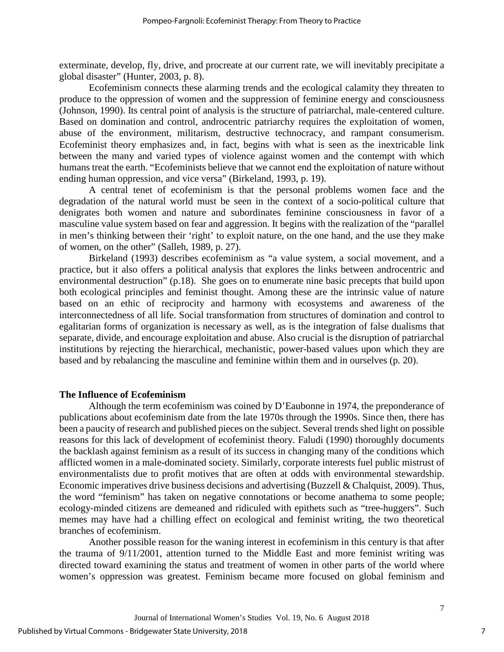exterminate, develop, fly, drive, and procreate at our current rate, we will inevitably precipitate a global disaster" (Hunter, 2003, p. 8).

Ecofeminism connects these alarming trends and the ecological calamity they threaten to produce to the oppression of women and the suppression of feminine energy and consciousness (Johnson, 1990). Its central point of analysis is the structure of patriarchal, male-centered culture. Based on domination and control, androcentric patriarchy requires the exploitation of women, abuse of the environment, militarism, destructive technocracy, and rampant consumerism. Ecofeminist theory emphasizes and, in fact, begins with what is seen as the inextricable link between the many and varied types of violence against women and the contempt with which humans treat the earth. "Ecofeminists believe that we cannot end the exploitation of nature without ending human oppression, and vice versa" (Birkeland, 1993, p. 19).

A central tenet of ecofeminism is that the personal problems women face and the degradation of the natural world must be seen in the context of a socio-political culture that denigrates both women and nature and subordinates feminine consciousness in favor of a masculine value system based on fear and aggression. It begins with the realization of the "parallel in men's thinking between their 'right' to exploit nature, on the one hand, and the use they make of women, on the other" (Salleh, 1989, p. 27).

Birkeland (1993) describes ecofeminism as "a value system, a social movement, and a practice, but it also offers a political analysis that explores the links between androcentric and environmental destruction" (p.18). She goes on to enumerate nine basic precepts that build upon both ecological principles and feminist thought. Among these are the intrinsic value of nature based on an ethic of reciprocity and harmony with ecosystems and awareness of the interconnectedness of all life. Social transformation from structures of domination and control to egalitarian forms of organization is necessary as well, as is the integration of false dualisms that separate, divide, and encourage exploitation and abuse. Also crucial is the disruption of patriarchal institutions by rejecting the hierarchical, mechanistic, power-based values upon which they are based and by rebalancing the masculine and feminine within them and in ourselves (p. 20).

#### **The Influence of Ecofeminism**

Although the term ecofeminism was coined by D'Eaubonne in 1974, the preponderance of publications about ecofeminism date from the late 1970s through the 1990s. Since then, there has been a paucity of research and published pieces on the subject. Several trends shed light on possible reasons for this lack of development of ecofeminist theory. Faludi (1990) thoroughly documents the backlash against feminism as a result of its success in changing many of the conditions which afflicted women in a male-dominated society. Similarly, corporate interests fuel public mistrust of environmentalists due to profit motives that are often at odds with environmental stewardship. Economic imperatives drive business decisions and advertising (Buzzell & Chalquist, 2009). Thus, the word "feminism" has taken on negative connotations or become anathema to some people; ecology-minded citizens are demeaned and ridiculed with epithets such as "tree-huggers". Such memes may have had a chilling effect on ecological and feminist writing, the two theoretical branches of ecofeminism.

Another possible reason for the waning interest in ecofeminism in this century is that after the trauma of 9/11/2001, attention turned to the Middle East and more feminist writing was directed toward examining the status and treatment of women in other parts of the world where women's oppression was greatest. Feminism became more focused on global feminism and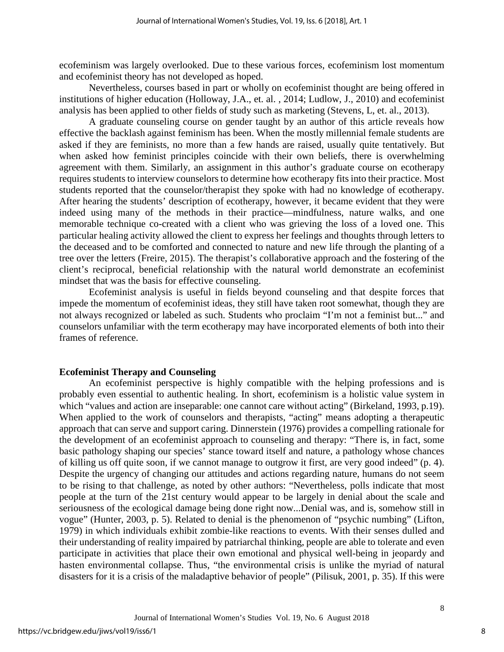ecofeminism was largely overlooked. Due to these various forces, ecofeminism lost momentum and ecofeminist theory has not developed as hoped.

Nevertheless, courses based in part or wholly on ecofeminist thought are being offered in institutions of higher education (Holloway, J.A., et. al. , 2014; Ludlow, J., 2010) and ecofeminist analysis has been applied to other fields of study such as marketing (Stevens, L, et. al., 2013).

A graduate counseling course on gender taught by an author of this article reveals how effective the backlash against feminism has been. When the mostly millennial female students are asked if they are feminists, no more than a few hands are raised, usually quite tentatively. But when asked how feminist principles coincide with their own beliefs, there is overwhelming agreement with them. Similarly, an assignment in this author's graduate course on ecotherapy requires students to interview counselors to determine how ecotherapy fits into their practice. Most students reported that the counselor/therapist they spoke with had no knowledge of ecotherapy. After hearing the students' description of ecotherapy, however, it became evident that they were indeed using many of the methods in their practice—mindfulness, nature walks, and one memorable technique co-created with a client who was grieving the loss of a loved one. This particular healing activity allowed the client to express her feelings and thoughts through letters to the deceased and to be comforted and connected to nature and new life through the planting of a tree over the letters (Freire, 2015). The therapist's collaborative approach and the fostering of the client's reciprocal, beneficial relationship with the natural world demonstrate an ecofeminist mindset that was the basis for effective counseling.

Ecofeminist analysis is useful in fields beyond counseling and that despite forces that impede the momentum of ecofeminist ideas, they still have taken root somewhat, though they are not always recognized or labeled as such. Students who proclaim "I'm not a feminist but..." and counselors unfamiliar with the term ecotherapy may have incorporated elements of both into their frames of reference.

#### **Ecofeminist Therapy and Counseling**

An ecofeminist perspective is highly compatible with the helping professions and is probably even essential to authentic healing. In short, ecofeminism is a holistic value system in which "values and action are inseparable: one cannot care without acting" (Birkeland, 1993, p.19). When applied to the work of counselors and therapists, "acting" means adopting a therapeutic approach that can serve and support caring. Dinnerstein (1976) provides a compelling rationale for the development of an ecofeminist approach to counseling and therapy: "There is, in fact, some basic pathology shaping our species' stance toward itself and nature, a pathology whose chances of killing us off quite soon, if we cannot manage to outgrow it first, are very good indeed" (p. 4). Despite the urgency of changing our attitudes and actions regarding nature, humans do not seem to be rising to that challenge, as noted by other authors: "Nevertheless, polls indicate that most people at the turn of the 21st century would appear to be largely in denial about the scale and seriousness of the ecological damage being done right now...Denial was, and is, somehow still in vogue" (Hunter, 2003, p. 5). Related to denial is the phenomenon of "psychic numbing" (Lifton, 1979) in which individuals exhibit zombie-like reactions to events. With their senses dulled and their understanding of reality impaired by patriarchal thinking, people are able to tolerate and even participate in activities that place their own emotional and physical well-being in jeopardy and hasten environmental collapse. Thus, "the environmental crisis is unlike the myriad of natural disasters for it is a crisis of the maladaptive behavior of people" (Pilisuk, 2001, p. 35). If this were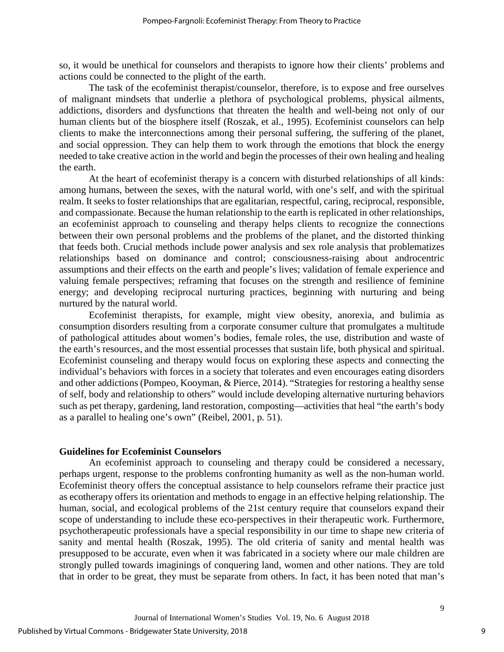so, it would be unethical for counselors and therapists to ignore how their clients' problems and actions could be connected to the plight of the earth.

The task of the ecofeminist therapist/counselor, therefore, is to expose and free ourselves of malignant mindsets that underlie a plethora of psychological problems, physical ailments, addictions, disorders and dysfunctions that threaten the health and well-being not only of our human clients but of the biosphere itself (Roszak, et al., 1995). Ecofeminist counselors can help clients to make the interconnections among their personal suffering, the suffering of the planet, and social oppression. They can help them to work through the emotions that block the energy needed to take creative action in the world and begin the processes of their own healing and healing the earth.

At the heart of ecofeminist therapy is a concern with disturbed relationships of all kinds: among humans, between the sexes, with the natural world, with one's self, and with the spiritual realm. It seeks to foster relationships that are egalitarian, respectful, caring, reciprocal, responsible, and compassionate. Because the human relationship to the earth is replicated in other relationships, an ecofeminist approach to counseling and therapy helps clients to recognize the connections between their own personal problems and the problems of the planet, and the distorted thinking that feeds both. Crucial methods include power analysis and sex role analysis that problematizes relationships based on dominance and control; consciousness-raising about androcentric assumptions and their effects on the earth and people's lives; validation of female experience and valuing female perspectives; reframing that focuses on the strength and resilience of feminine energy; and developing reciprocal nurturing practices, beginning with nurturing and being nurtured by the natural world.

Ecofeminist therapists, for example, might view obesity, anorexia, and bulimia as consumption disorders resulting from a corporate consumer culture that promulgates a multitude of pathological attitudes about women's bodies, female roles, the use, distribution and waste of the earth's resources, and the most essential processes that sustain life, both physical and spiritual. Ecofeminist counseling and therapy would focus on exploring these aspects and connecting the individual's behaviors with forces in a society that tolerates and even encourages eating disorders and other addictions (Pompeo, Kooyman, & Pierce, 2014). "Strategies for restoring a healthy sense of self, body and relationship to others" would include developing alternative nurturing behaviors such as pet therapy, gardening, land restoration, composting—activities that heal "the earth's body as a parallel to healing one's own" (Reibel, 2001, p. 51).

#### **Guidelines for Ecofeminist Counselors**

An ecofeminist approach to counseling and therapy could be considered a necessary, perhaps urgent, response to the problems confronting humanity as well as the non-human world. Ecofeminist theory offers the conceptual assistance to help counselors reframe their practice just as ecotherapy offers its orientation and methods to engage in an effective helping relationship. The human, social, and ecological problems of the 21st century require that counselors expand their scope of understanding to include these eco-perspectives in their therapeutic work. Furthermore, psychotherapeutic professionals have a special responsibility in our time to shape new criteria of sanity and mental health (Roszak, 1995). The old criteria of sanity and mental health was presupposed to be accurate, even when it was fabricated in a society where our male children are strongly pulled towards imaginings of conquering land, women and other nations. They are told that in order to be great, they must be separate from others. In fact, it has been noted that man's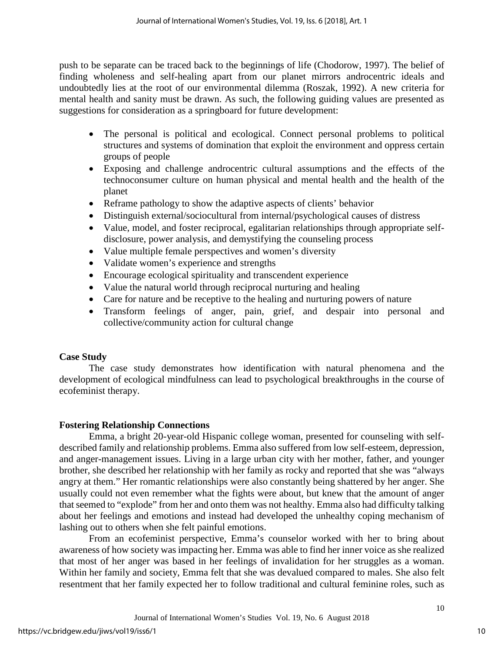push to be separate can be traced back to the beginnings of life (Chodorow, 1997). The belief of finding wholeness and self-healing apart from our planet mirrors androcentric ideals and undoubtedly lies at the root of our environmental dilemma (Roszak, 1992). A new criteria for mental health and sanity must be drawn. As such, the following guiding values are presented as suggestions for consideration as a springboard for future development:

- The personal is political and ecological. Connect personal problems to political structures and systems of domination that exploit the environment and oppress certain groups of people
- Exposing and challenge androcentric cultural assumptions and the effects of the technoconsumer culture on human physical and mental health and the health of the planet
- Reframe pathology to show the adaptive aspects of clients' behavior
- Distinguish external/sociocultural from internal/psychological causes of distress
- Value, model, and foster reciprocal, egalitarian relationships through appropriate selfdisclosure, power analysis, and demystifying the counseling process
- Value multiple female perspectives and women's diversity
- Validate women's experience and strengths
- Encourage ecological spirituality and transcendent experience
- Value the natural world through reciprocal nurturing and healing
- Care for nature and be receptive to the healing and nurturing powers of nature
- Transform feelings of anger, pain, grief, and despair into personal and collective/community action for cultural change

# **Case Study**

The case study demonstrates how identification with natural phenomena and the development of ecological mindfulness can lead to psychological breakthroughs in the course of ecofeminist therapy.

# **Fostering Relationship Connections**

Emma, a bright 20-year-old Hispanic college woman, presented for counseling with selfdescribed family and relationship problems. Emma also suffered from low self-esteem, depression, and anger-management issues. Living in a large urban city with her mother, father, and younger brother, she described her relationship with her family as rocky and reported that she was "always angry at them." Her romantic relationships were also constantly being shattered by her anger. She usually could not even remember what the fights were about, but knew that the amount of anger that seemed to "explode" from her and onto them was not healthy. Emma also had difficulty talking about her feelings and emotions and instead had developed the unhealthy coping mechanism of lashing out to others when she felt painful emotions.

From an ecofeminist perspective, Emma's counselor worked with her to bring about awareness of how society was impacting her. Emma was able to find her inner voice as she realized that most of her anger was based in her feelings of invalidation for her struggles as a woman. Within her family and society, Emma felt that she was devalued compared to males. She also felt resentment that her family expected her to follow traditional and cultural feminine roles, such as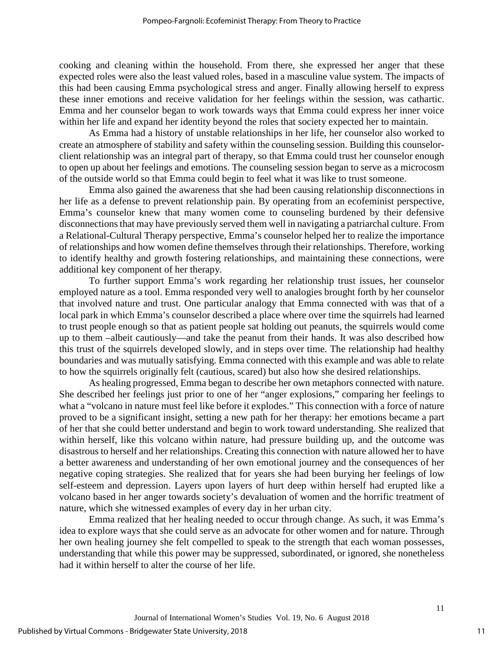cooking and cleaning within the household. From there, she expressed her anger that these expected roles were also the least valued roles, based in a masculine value system. The impacts of this had been causing Emma psychological stress and anger. Finally allowing herself to express these inner emotions and receive validation for her feelings within the session, was cathartic. Emma and her counselor began to work towards ways that Emma could express her inner voice within her life and expand her identity beyond the roles that society expected her to maintain.

As Emma had a history of unstable relationships in her life, her counselor also worked to create an atmosphere of stability and safety within the counseling session. Building this counselorclient relationship was an integral part of therapy, so that Emma could trust her counselor enough to open up about her feelings and emotions. The counseling session began to serve as a microcosm of the outside world so that Emma could begin to feel what it was like to trust someone.

Emma also gained the awareness that she had been causing relationship disconnections in her life as a defense to prevent relationship pain. By operating from an ecofeminist perspective, Emma's counselor knew that many women come to counseling burdened by their defensive disconnections that may have previously served them well in navigating a patriarchal culture. From a Relational-Cultural Therapy perspective, Emma's counselor helped her to realize the importance of relationships and how women define themselves through their relationships. Therefore, working to identify healthy and growth fostering relationships, and maintaining these connections, were additional key component of her therapy.

To further support Emma's work regarding her relationship trust issues, her counselor employed nature as a tool. Emma responded very well to analogies brought forth by her counselor that involved nature and trust. One particular analogy that Emma connected with was that of a local park in which Emma's counselor described a place where over time the squirrels had learned to trust people enough so that as patient people sat holding out peanuts, the squirrels would come up to them –albeit cautiously—and take the peanut from their hands. It was also described how this trust of the squirrels developed slowly, and in steps over time. The relationship had healthy boundaries and was mutually satisfying. Emma connected with this example and was able to relate to how the squirrels originally felt (cautious, scared) but also how she desired relationships.

As healing progressed, Emma began to describe her own metaphors connected with nature. She described her feelings just prior to one of her "anger explosions," comparing her feelings to what a "volcano in nature must feel like before it explodes." This connection with a force of nature proved to be a significant insight, setting a new path for her therapy: her emotions became a part of her that she could better understand and begin to work toward understanding. She realized that within herself, like this volcano within nature, had pressure building up, and the outcome was disastrous to herself and her relationships. Creating this connection with nature allowed her to have a better awareness and understanding of her own emotional journey and the consequences of her negative coping strategies. She realized that for years she had been burying her feelings of low self-esteem and depression. Layers upon layers of hurt deep within herself had erupted like a volcano based in her anger towards society's devaluation of women and the horrific treatment of nature, which she witnessed examples of every day in her urban city.

Emma realized that her healing needed to occur through change. As such, it was Emma's idea to explore ways that she could serve as an advocate for other women and for nature. Through her own healing journey she felt compelled to speak to the strength that each woman possesses, understanding that while this power may be suppressed, subordinated, or ignored, she nonetheless had it within herself to alter the course of her life.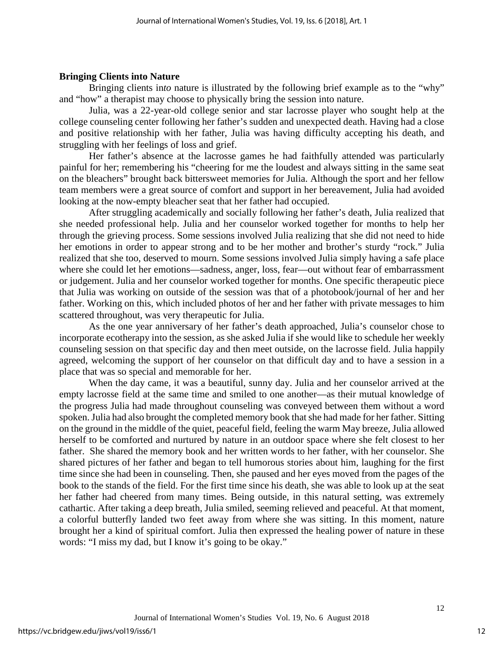#### **Bringing Clients into Nature**

Bringing clients in*to* nature is illustrated by the following brief example as to the "why" and "how" a therapist may choose to physically bring the session into nature.

Julia, was a 22-year-old college senior and star lacrosse player who sought help at the college counseling center following her father's sudden and unexpected death. Having had a close and positive relationship with her father, Julia was having difficulty accepting his death, and struggling with her feelings of loss and grief.

Her father's absence at the lacrosse games he had faithfully attended was particularly painful for her; remembering his "cheering for me the loudest and always sitting in the same seat on the bleachers" brought back bittersweet memories for Julia. Although the sport and her fellow team members were a great source of comfort and support in her bereavement, Julia had avoided looking at the now-empty bleacher seat that her father had occupied.

After struggling academically and socially following her father's death, Julia realized that she needed professional help. Julia and her counselor worked together for months to help her through the grieving process. Some sessions involved Julia realizing that she did not need to hide her emotions in order to appear strong and to be her mother and brother's sturdy "rock." Julia realized that she too, deserved to mourn. Some sessions involved Julia simply having a safe place where she could let her emotions—sadness, anger, loss, fear—out without fear of embarrassment or judgement. Julia and her counselor worked together for months. One specific therapeutic piece that Julia was working on outside of the session was that of a photobook/journal of her and her father. Working on this, which included photos of her and her father with private messages to him scattered throughout, was very therapeutic for Julia.

As the one year anniversary of her father's death approached, Julia's counselor chose to incorporate ecotherapy into the session, as she asked Julia if she would like to schedule her weekly counseling session on that specific day and then meet outside, on the lacrosse field. Julia happily agreed, welcoming the support of her counselor on that difficult day and to have a session in a place that was so special and memorable for her.

When the day came, it was a beautiful, sunny day. Julia and her counselor arrived at the empty lacrosse field at the same time and smiled to one another—as their mutual knowledge of the progress Julia had made throughout counseling was conveyed between them without a word spoken. Julia had also brought the completed memory book that she had made for her father. Sitting on the ground in the middle of the quiet, peaceful field, feeling the warm May breeze, Julia allowed herself to be comforted and nurtured by nature in an outdoor space where she felt closest to her father. She shared the memory book and her written words to her father, with her counselor. She shared pictures of her father and began to tell humorous stories about him, laughing for the first time since she had been in counseling. Then, she paused and her eyes moved from the pages of the book to the stands of the field. For the first time since his death, she was able to look up at the seat her father had cheered from many times. Being outside, in this natural setting, was extremely cathartic. After taking a deep breath, Julia smiled, seeming relieved and peaceful. At that moment, a colorful butterfly landed two feet away from where she was sitting. In this moment, nature brought her a kind of spiritual comfort. Julia then expressed the healing power of nature in these words: "I miss my dad, but I know it's going to be okay."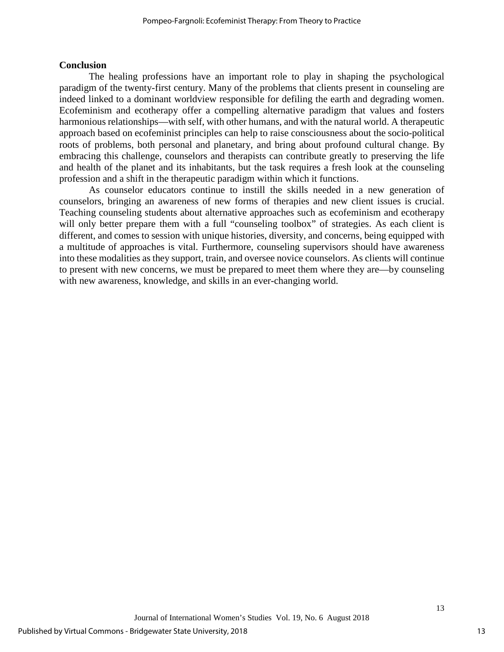# **Conclusion**

The healing professions have an important role to play in shaping the psychological paradigm of the twenty-first century. Many of the problems that clients present in counseling are indeed linked to a dominant worldview responsible for defiling the earth and degrading women. Ecofeminism and ecotherapy offer a compelling alternative paradigm that values and fosters harmonious relationships—with self, with other humans, and with the natural world. A therapeutic approach based on ecofeminist principles can help to raise consciousness about the socio-political roots of problems, both personal and planetary, and bring about profound cultural change. By embracing this challenge, counselors and therapists can contribute greatly to preserving the life and health of the planet and its inhabitants, but the task requires a fresh look at the counseling profession and a shift in the therapeutic paradigm within which it functions.

As counselor educators continue to instill the skills needed in a new generation of counselors, bringing an awareness of new forms of therapies and new client issues is crucial. Teaching counseling students about alternative approaches such as ecofeminism and ecotherapy will only better prepare them with a full "counseling toolbox" of strategies. As each client is different, and comes to session with unique histories, diversity, and concerns, being equipped with a multitude of approaches is vital. Furthermore, counseling supervisors should have awareness into these modalities as they support, train, and oversee novice counselors. As clients will continue to present with new concerns, we must be prepared to meet them where they are—by counseling with new awareness, knowledge, and skills in an ever-changing world.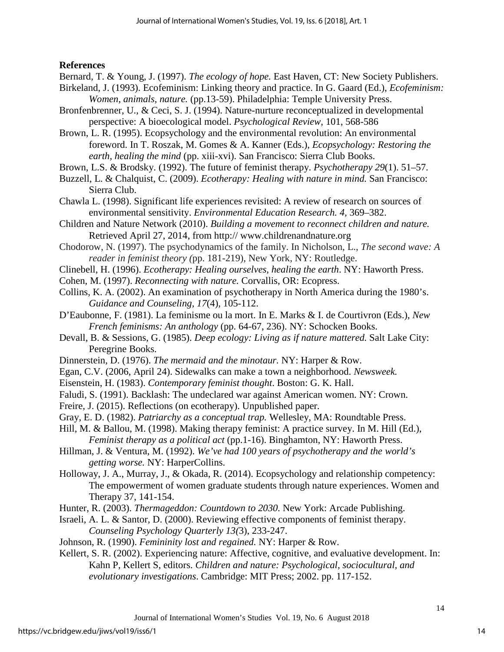# **References**

Bernard, T. & Young, J. (1997). *The ecology of hope.* East Haven, CT: New Society Publishers.

- Birkeland, J. (1993). Ecofeminism: Linking theory and practice. In G. Gaard (Ed.), *Ecofeminism: Women, animals, nature.* (pp.13-59). Philadelphia: Temple University Press.
- Bronfenbrenner, U., & Ceci, S. J. (1994). Nature-nurture reconceptualized in developmental perspective: A bioecological model. *Psychological Review*, 101, 568-586

Brown, L. R. (1995). Ecopsychology and the environmental revolution: An environmental foreword. In T. Roszak, M. Gomes & A. Kanner (Eds.), *Ecopsychology: Restoring the earth, healing the mind* (pp. xiii-xvi). San Francisco: Sierra Club Books.

- Brown, L.S. & Brodsky. (1992). The future of feminist therapy. *Psychotherapy 29*(1). 51–57.
- Buzzell, L. & Chalquist, C. (2009). *Ecotherapy: Healing with nature in mind.* San Francisco: Sierra Club.
- Chawla L. (1998). Significant life experiences revisited: A review of research on sources of environmental sensitivity. *Environmental Education Research. 4,* 369–382.
- Children and Nature Network (2010). *Building a movement to reconnect children and nature.*  Retrieved April 27, 2014, from http:// [www.childrenandnature.org](http://www.childrenandnature.org/)
- Chodorow, N. (1997). The psychodynamics of the family. In Nicholson, L., *The second wave: A reader in feminist theory (*pp. 181-219), New York, NY: Routledge.
- Clinebell, H. (1996). *Ecotherapy: Healing ourselves, healing the earth*. NY: Haworth Press.
- Cohen, M. (1997). *Reconnecting with nature.* Corvallis, OR: Ecopress.
- Collins, K. A. (2002). An examination of psychotherapy in North America during the 1980's. *Guidance and Counseling, 17*(4), 105-112.
- D'Eaubonne, F. (1981). La feminisme ou la mort. In E. Marks & I. de Courtivron (Eds.), *New French feminisms: An anthology* (pp. 64-67, 236). NY: Schocken Books.
- Devall, B. & Sessions, G. (1985). *Deep ecology: Living as if nature mattered.* Salt Lake City: Peregrine Books.
- Dinnerstein, D. (1976). *The mermaid and the minotaur.* NY: Harper & Row.
- Egan, C.V. (2006, April 24). Sidewalks can make a town a neighborhood. *Newsweek.*
- Eisenstein, H. (1983). *Contemporary feminist thought*. Boston: G. K. Hall.
- Faludi, S. (1991). Backlash: The undeclared war against American women. NY: Crown.
- Freire, J. (2015). Reflections (on ecotherapy). Unpublished paper.
- Gray, E. D. (1982). *Patriarchy as a conceptual trap.* Wellesley, MA: Roundtable Press.
- Hill, M. & Ballou, M. (1998). Making therapy feminist: A practice survey. In M. Hill (Ed.), *Feminist therapy as a political act* (pp.1-16). Binghamton, NY: Haworth Press.
- Hillman, J. & Ventura, M. (1992). *We've had 100 years of psychotherapy and the world's getting worse.* NY: HarperCollins.

Holloway, J. A., Murray, J., & Okada, R. (2014). Ecopsychology and relationship competency: The empowerment of women graduate students through nature experiences. Women and Therapy 37, 141-154.

Hunter, R. (2003). *Thermageddon: Countdown to 2030.* New York: Arcade Publishing.

- Israeli, A. L. & Santor, D. (2000). Reviewing effective components of feminist therapy. *Counseling Psychology Quarterly 13(*3), 233-247.
- Johnson, R. (1990). *Femininity lost and regained.* NY: Harper & Row.
- Kellert, S. R. (2002). Experiencing nature: Affective, cognitive, and evaluative development. In: Kahn P, Kellert S, editors. *Children and nature: Psychological, sociocultural, and evolutionary investigations*. Cambridge: MIT Press; 2002. pp. 117-152.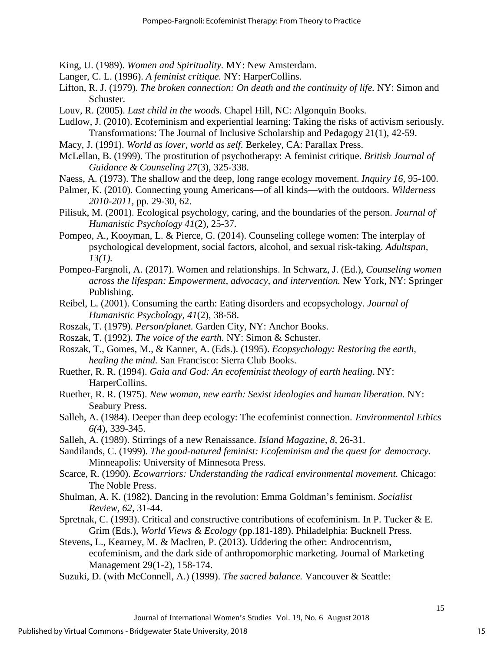- King, U. (1989). *Women and Spirituality.* MY: New Amsterdam.
- Langer, C. L. (1996). *A feminist critique.* NY: HarperCollins.
- Lifton, R. J. (1979). *The broken connection: On death and the continuity of life.* NY: Simon and Schuster.
- Louv, R. (2005). *Last child in the woods.* Chapel Hill, NC: Algonquin Books.
- Ludlow, J. (2010). Ecofeminism and experiential learning: Taking the risks of activism seriously. Transformations: The Journal of Inclusive Scholarship and Pedagogy 21(1), 42-59.
- Macy, J. (1991). *World as lover, world as self.* Berkeley, CA: Parallax Press.
- McLellan, B. (1999). The prostitution of psychotherapy: A feminist critique. *British Journal of Guidance & Counseling 27*(3), 325-338.
- Naess, A. (1973). The shallow and the deep, long range ecology movement. *Inquiry 16,* 95-100.
- Palmer, K. (2010). Connecting young Americans—of all kinds—with the outdoors. *Wilderness 2010-2011,* pp. 29-30, 62.
- Pilisuk, M. (2001). Ecological psychology, caring, and the boundaries of the person. *Journal of Humanistic Psychology 41*(2), 25-37.
- Pompeo, A., Kooyman, L. & Pierce, G. (2014). Counseling college women: The interplay of psychological development, social factors, alcohol, and sexual risk-taking. *Adultspan, 13(1).*
- Pompeo-Fargnoli, A. (2017). Women and relationships. In Schwarz, J. (Ed.), *Counseling women across the lifespan: Empowerment, advocacy, and intervention.* New York, NY: Springer Publishing.
- Reibel, L. (2001). Consuming the earth: Eating disorders and ecopsychology. *Journal of Humanistic Psychology, 41*(2), 38-58.
- Roszak, T. (1979). *Person/planet.* Garden City, NY: Anchor Books.
- Roszak, T. (1992). *The voice of the earth*. NY: Simon & Schuster.
- Roszak, T., Gomes, M., & Kanner, A. (Eds.). (1995). *Ecopsychology: Restoring the earth, healing the mind.* San Francisco: Sierra Club Books.
- Ruether, R. R. (1994). *Gaia and God: An ecofeminist theology of earth healing*. NY: HarperCollins.
- Ruether, R. R. (1975). *New woman, new earth: Sexist ideologies and human liberation.* NY: Seabury Press.
- Salleh, A. (1984). Deeper than deep ecology: The ecofeminist connection. *Environmental Ethics 6(*4), 339-345.
- Salleh, A. (1989). Stirrings of a new Renaissance. *Island Magazine, 8,* 26-31.
- Sandilands, C. (1999). *The good-natured feminist: Ecofeminism and the quest for democracy.*  Minneapolis: University of Minnesota Press.
- Scarce, R. (1990). *Ecowarriors: Understanding the radical environmental movement.* Chicago: The Noble Press.
- Shulman, A. K. (1982). Dancing in the revolution: Emma Goldman's feminism. *Socialist Review, 62,* 31-44.
- Spretnak, C. (1993). Critical and constructive contributions of ecofeminism. In P. Tucker & E. Grim (Eds.), *World Views & Ecology* (pp.181-189). Philadelphia: Bucknell Press.
- Stevens, L., Kearney, M. & Maclren, P. (2013). Uddering the other: Androcentrism, ecofeminism, and the dark side of anthropomorphic marketing. Journal of Marketing Management 29(1-2), 158-174.
- Suzuki, D. (with McConnell, A.) (1999). *The sacred balance.* Vancouver & Seattle: